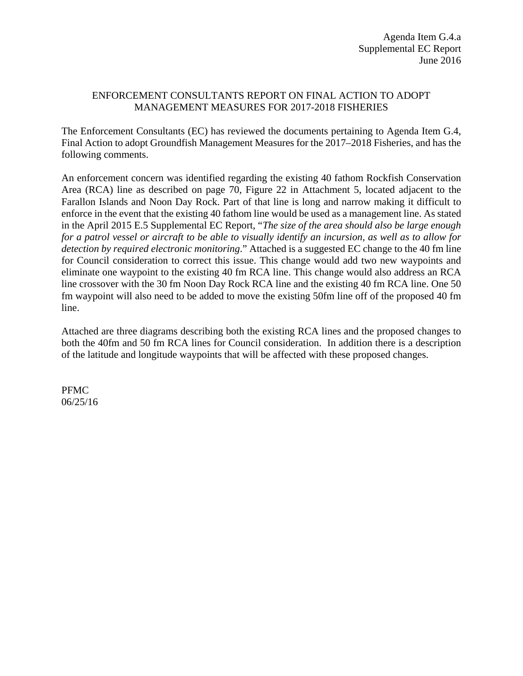#### ENFORCEMENT CONSULTANTS REPORT ON FINAL ACTION TO ADOPT MANAGEMENT MEASURES FOR 2017-2018 FISHERIES

The Enforcement Consultants (EC) has reviewed the documents pertaining to Agenda Item G.4, Final Action to adopt Groundfish Management Measures for the 2017–2018 Fisheries, and has the following comments.

An enforcement concern was identified regarding the existing 40 fathom Rockfish Conservation Area (RCA) line as described on page 70, Figure 22 in Attachment 5, located adjacent to the Farallon Islands and Noon Day Rock. Part of that line is long and narrow making it difficult to enforce in the event that the existing 40 fathom line would be used as a management line. As stated in the April 2015 E.5 Supplemental EC Report, "*The size of the area should also be large enough for a patrol vessel or aircraft to be able to visually identify an incursion, as well as to allow for detection by required electronic monitoring*." Attached is a suggested EC change to the 40 fm line for Council consideration to correct this issue. This change would add two new waypoints and eliminate one waypoint to the existing 40 fm RCA line. This change would also address an RCA line crossover with the 30 fm Noon Day Rock RCA line and the existing 40 fm RCA line. One 50 fm waypoint will also need to be added to move the existing 50fm line off of the proposed 40 fm line.

Attached are three diagrams describing both the existing RCA lines and the proposed changes to both the 40fm and 50 fm RCA lines for Council consideration. In addition there is a description of the latitude and longitude waypoints that will be affected with these proposed changes.

PFMC 06/25/16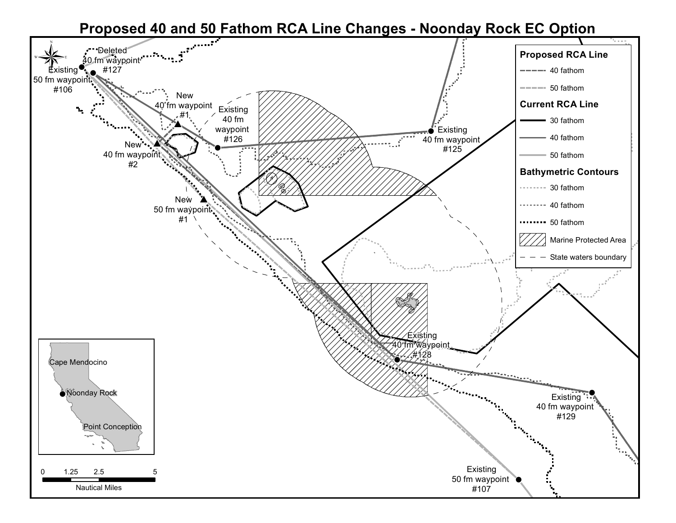### ! **Proposed 40 and 50 Fathom RCA Line Changes - Noonday Rock EC Option**

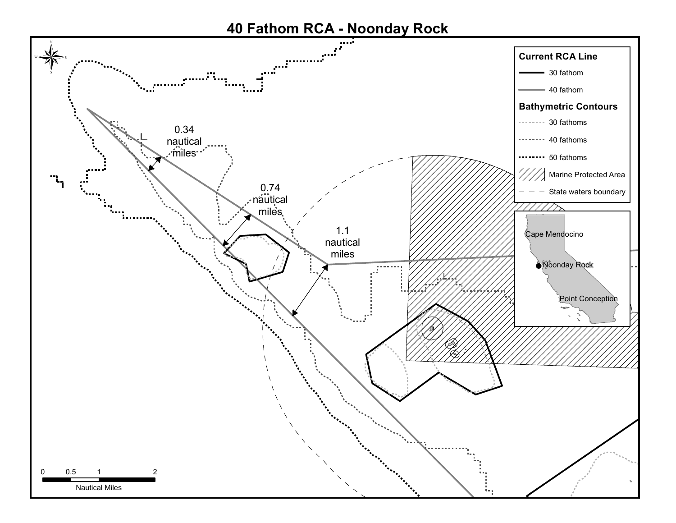# **40 Fathom RCA - Noonday Rock**

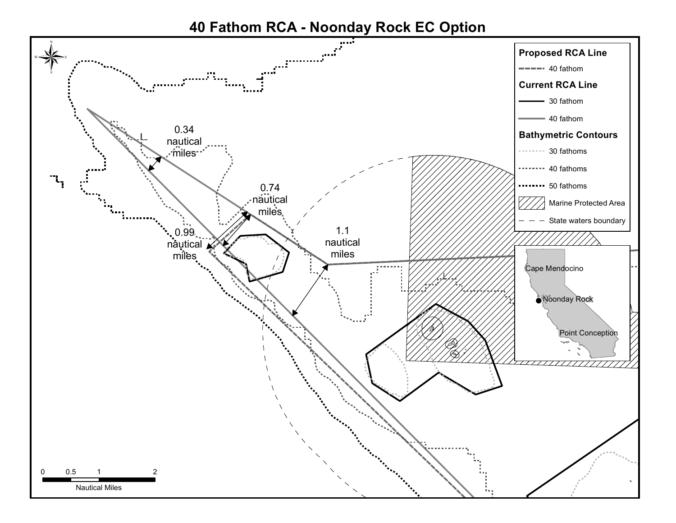## **40 Fathom RCA - Noonday Rock EC Option**

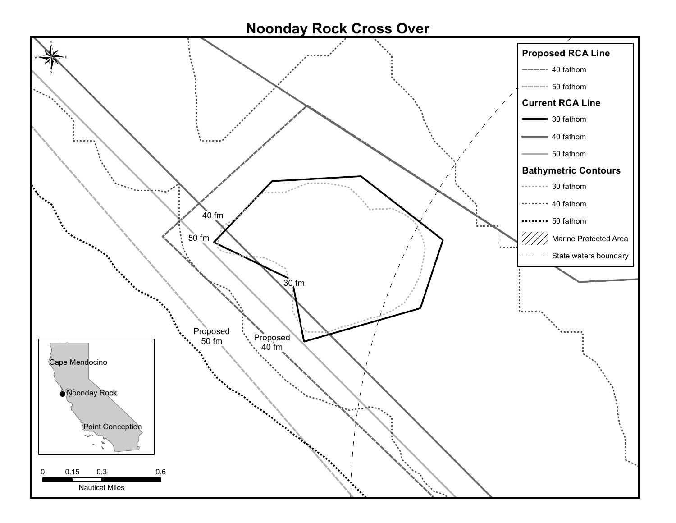### **Noonday Rock Cross Over**